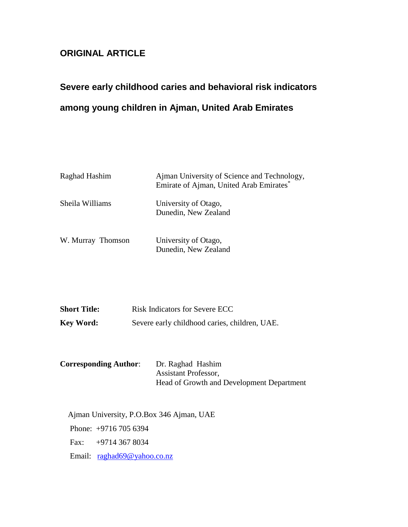### **ORIGINAL ARTICLE**

# **Severe early childhood caries and behavioral risk indicators among young children in Ajman, United Arab Emirates**

| Raghad Hashim     | Ajman University of Science and Technology,<br>Emirate of Ajman, United Arab Emirates* |
|-------------------|----------------------------------------------------------------------------------------|
| Sheila Williams   | University of Otago,<br>Dunedin, New Zealand                                           |
| W. Murray Thomson | University of Otago,<br>Dunedin, New Zealand                                           |

| <b>Short Title:</b> | <b>Risk Indicators for Severe ECC</b>         |
|---------------------|-----------------------------------------------|
| <b>Key Word:</b>    | Severe early childhood caries, children, UAE. |

| <b>Corresponding Author:</b> | Dr. Raghad Hashim                         |
|------------------------------|-------------------------------------------|
|                              | <b>Assistant Professor,</b>               |
|                              | Head of Growth and Development Department |

Ajman University, P.O.Box 346 Ajman, UAE Phone: +9716 705 6394 Fax: +9714 367 8034 Email: [raghad69@yahoo.co.nz](mailto:raghad69@yahoo.co.nz)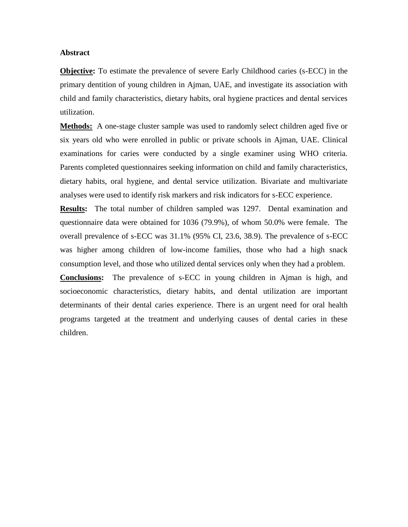#### **Abstract**

**Objective:** To estimate the prevalence of severe Early Childhood caries (s-ECC) in the primary dentition of young children in Ajman, UAE, and investigate its association with child and family characteristics, dietary habits, oral hygiene practices and dental services utilization.

**Methods:** A one-stage cluster sample was used to randomly select children aged five or six years old who were enrolled in public or private schools in Ajman, UAE. Clinical examinations for caries were conducted by a single examiner using WHO criteria. Parents completed questionnaires seeking information on child and family characteristics, dietary habits, oral hygiene, and dental service utilization. Bivariate and multivariate analyses were used to identify risk markers and risk indicators for s-ECC experience.

**Results:** The total number of children sampled was 1297. Dental examination and questionnaire data were obtained for 1036 (79.9%), of whom 50.0% were female. The overall prevalence of s-ECC was 31.1% (95% CI, 23.6, 38.9). The prevalence of s-ECC was higher among children of low-income families, those who had a high snack consumption level, and those who utilized dental services only when they had a problem.

**Conclusions:** The prevalence of s-ECC in young children in Ajman is high, and socioeconomic characteristics, dietary habits, and dental utilization are important determinants of their dental caries experience. There is an urgent need for oral health programs targeted at the treatment and underlying causes of dental caries in these children.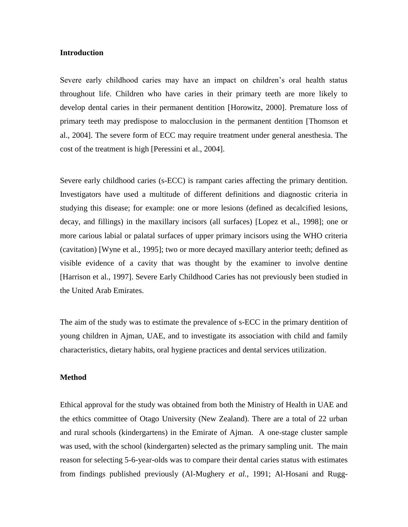#### **Introduction**

Severe early childhood caries may have an impact on children's oral health status throughout life. Children who have caries in their primary teeth are more likely to develop dental caries in their permanent dentition [Horowitz, 2000]. Premature loss of primary teeth may predispose to malocclusion in the permanent dentition [Thomson et al., 2004]. The severe form of ECC may require treatment under general anesthesia. The cost of the treatment is high [Peressini et al., 2004].

Severe early childhood caries (s-ECC) is rampant caries affecting the primary dentition. Investigators have used a multitude of different definitions and diagnostic criteria in studying this disease; for example: one or more lesions (defined as decalcified lesions, decay, and fillings) in the maxillary incisors (all surfaces) [Lopez et al., 1998]; one or more carious labial or palatal surfaces of upper primary incisors using the WHO criteria (cavitation) [Wyne et al., 1995]; two or more decayed maxillary anterior teeth; defined as visible evidence of a cavity that was thought by the examiner to involve dentine [Harrison et al., 1997]. Severe Early Childhood Caries has not previously been studied in the United Arab Emirates.

The aim of the study was to estimate the prevalence of s-ECC in the primary dentition of young children in Ajman, UAE, and to investigate its association with child and family characteristics, dietary habits, oral hygiene practices and dental services utilization.

#### **Method**

Ethical approval for the study was obtained from both the Ministry of Health in UAE and the ethics committee of Otago University (New Zealand). There are a total of 22 urban and rural schools (kindergartens) in the Emirate of Ajman. A one-stage cluster sample was used, with the school (kindergarten) selected as the primary sampling unit. The main reason for selecting 5-6-year-olds was to compare their dental caries status with estimates from findings published previously (Al-Mughery *et al.*, 1991; Al-Hosani and Rugg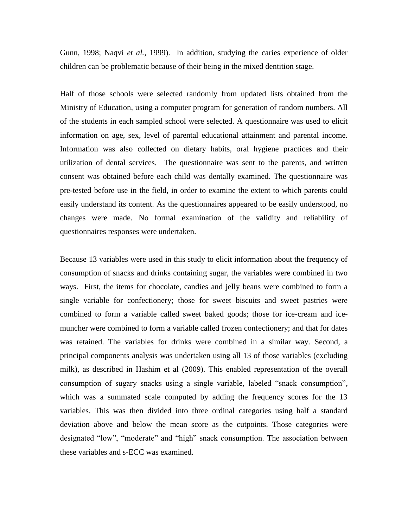Gunn, 1998; Naqvi *et al.*, 1999). In addition, studying the caries experience of older children can be problematic because of their being in the mixed dentition stage.

Half of those schools were selected randomly from updated lists obtained from the Ministry of Education, using a computer program for generation of random numbers. All of the students in each sampled school were selected. A questionnaire was used to elicit information on age, sex, level of parental educational attainment and parental income. Information was also collected on dietary habits, oral hygiene practices and their utilization of dental services. The questionnaire was sent to the parents, and written consent was obtained before each child was dentally examined. The questionnaire was pre-tested before use in the field, in order to examine the extent to which parents could easily understand its content. As the questionnaires appeared to be easily understood, no changes were made. No formal examination of the validity and reliability of questionnaires responses were undertaken.

Because 13 variables were used in this study to elicit information about the frequency of consumption of snacks and drinks containing sugar, the variables were combined in two ways. First, the items for chocolate, candies and jelly beans were combined to form a single variable for confectionery; those for sweet biscuits and sweet pastries were combined to form a variable called sweet baked goods; those for ice-cream and icemuncher were combined to form a variable called frozen confectionery; and that for dates was retained. The variables for drinks were combined in a similar way. Second, a principal components analysis was undertaken using all 13 of those variables (excluding milk), as described in Hashim et al (2009). This enabled representation of the overall consumption of sugary snacks using a single variable, labeled "snack consumption", which was a summated scale computed by adding the frequency scores for the 13 variables. This was then divided into three ordinal categories using half a standard deviation above and below the mean score as the cutpoints. Those categories were designated "low", "moderate" and "high" snack consumption. The association between these variables and s-ECC was examined.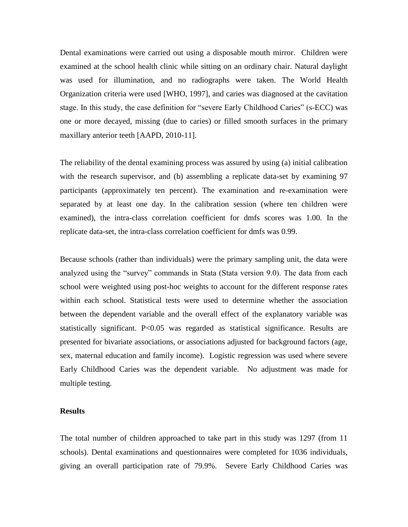Dental examinations were carried out using a disposable mouth mirror. Children were examined at the school health clinic while sitting on an ordinary chair. Natural daylight was used for illumination, and no radiographs were taken. The World Health Organization criteria were used [WHO, 1997], and caries was diagnosed at the cavitation stage. In this study, the case definition for "severe Early Childhood Caries" (s-ECC) was one or more decayed, missing (due to caries) or filled smooth surfaces in the primary maxillary anterior teeth [AAPD, 2010-11].

The reliability of the dental examining process was assured by using (a) initial calibration with the research supervisor, and (b) assembling a replicate data-set by examining 97 participants (approximately ten percent). The examination and re-examination were separated by at least one day. In the calibration session (where ten children were examined), the intra-class correlation coefficient for dmfs scores was 1.00. In the replicate data-set, the intra-class correlation coefficient for dmfs was 0.99.

Because schools (rather than individuals) were the primary sampling unit, the data were analyzed using the "survey" commands in Stata (Stata version 9.0). The data from each school were weighted using post-hoc weights to account for the different response rates within each school. Statistical tests were used to determine whether the association between the dependent variable and the overall effect of the explanatory variable was statistically significant. P<0.05 was regarded as statistical significance. Results are presented for bivariate associations, or associations adjusted for background factors (age, sex, maternal education and family income). Logistic regression was used where severe Early Childhood Caries was the dependent variable. No adjustment was made for multiple testing.

#### **Results**

The total number of children approached to take part in this study was 1297 (from 11 schools). Dental examinations and questionnaires were completed for 1036 individuals, giving an overall participation rate of 79.9%. Severe Early Childhood Caries was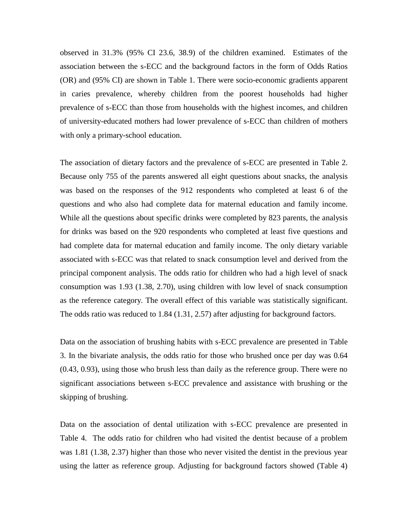observed in 31.3% (95% CI 23.6, 38.9) of the children examined. Estimates of the association between the s-ECC and the background factors in the form of Odds Ratios (OR) and (95% CI) are shown in Table 1. There were socio-economic gradients apparent in caries prevalence, whereby children from the poorest households had higher prevalence of s-ECC than those from households with the highest incomes, and children of university-educated mothers had lower prevalence of s-ECC than children of mothers with only a primary-school education.

The association of dietary factors and the prevalence of s-ECC are presented in Table 2. Because only 755 of the parents answered all eight questions about snacks, the analysis was based on the responses of the 912 respondents who completed at least 6 of the questions and who also had complete data for maternal education and family income. While all the questions about specific drinks were completed by 823 parents, the analysis for drinks was based on the 920 respondents who completed at least five questions and had complete data for maternal education and family income. The only dietary variable associated with s-ECC was that related to snack consumption level and derived from the principal component analysis. The odds ratio for children who had a high level of snack consumption was 1.93 (1.38, 2.70), using children with low level of snack consumption as the reference category. The overall effect of this variable was statistically significant. The odds ratio was reduced to 1.84 (1.31, 2.57) after adjusting for background factors.

Data on the association of brushing habits with s-ECC prevalence are presented in Table 3. In the bivariate analysis, the odds ratio for those who brushed once per day was 0.64 (0.43, 0.93), using those who brush less than daily as the reference group. There were no significant associations between s-ECC prevalence and assistance with brushing or the skipping of brushing.

Data on the association of dental utilization with s-ECC prevalence are presented in Table 4. The odds ratio for children who had visited the dentist because of a problem was 1.81 (1.38, 2.37) higher than those who never visited the dentist in the previous year using the latter as reference group. Adjusting for background factors showed (Table 4)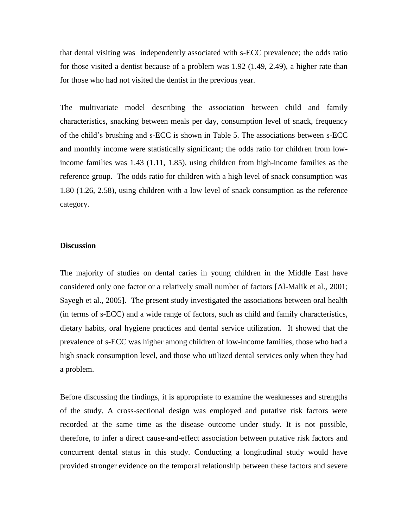that dental visiting was independently associated with s-ECC prevalence; the odds ratio for those visited a dentist because of a problem was 1.92 (1.49, 2.49), a higher rate than for those who had not visited the dentist in the previous year.

The multivariate model describing the association between child and family characteristics, snacking between meals per day, consumption level of snack, frequency of the child's brushing and s-ECC is shown in Table 5. The associations between s-ECC and monthly income were statistically significant; the odds ratio for children from lowincome families was 1.43 (1.11, 1.85), using children from high-income families as the reference group. The odds ratio for children with a high level of snack consumption was 1.80 (1.26, 2.58), using children with a low level of snack consumption as the reference category.

#### **Discussion**

The majority of studies on dental caries in young children in the Middle East have considered only one factor or a relatively small number of factors [Al-Malik et al., 2001; Sayegh et al., 2005]. The present study investigated the associations between oral health (in terms of s-ECC) and a wide range of factors, such as child and family characteristics, dietary habits, oral hygiene practices and dental service utilization. It showed that the prevalence of s-ECC was higher among children of low-income families, those who had a high snack consumption level, and those who utilized dental services only when they had a problem.

Before discussing the findings, it is appropriate to examine the weaknesses and strengths of the study. A cross-sectional design was employed and putative risk factors were recorded at the same time as the disease outcome under study. It is not possible, therefore, to infer a direct cause-and-effect association between putative risk factors and concurrent dental status in this study. Conducting a longitudinal study would have provided stronger evidence on the temporal relationship between these factors and severe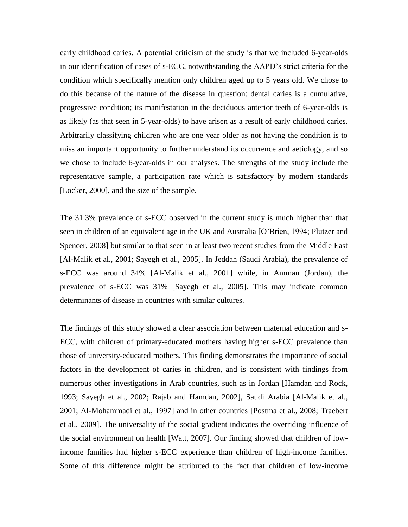early childhood caries. A potential criticism of the study is that we included 6-year-olds in our identification of cases of s-ECC, notwithstanding the AAPD's strict criteria for the condition which specifically mention only children aged up to 5 years old. We chose to do this because of the nature of the disease in question: dental caries is a cumulative, progressive condition; its manifestation in the deciduous anterior teeth of 6-year-olds is as likely (as that seen in 5-year-olds) to have arisen as a result of early childhood caries. Arbitrarily classifying children who are one year older as not having the condition is to miss an important opportunity to further understand its occurrence and aetiology, and so we chose to include 6-year-olds in our analyses. The strengths of the study include the representative sample, a participation rate which is satisfactory by modern standards [Locker, 2000], and the size of the sample.

The 31.3% prevalence of s-ECC observed in the current study is much higher than that seen in children of an equivalent age in the UK and Australia [O'Brien, 1994; Plutzer and Spencer, 2008] but similar to that seen in at least two recent studies from the Middle East [Al-Malik et al., 2001; Sayegh et al., 2005]. In Jeddah (Saudi Arabia), the prevalence of s-ECC was around 34% [Al-Malik et al., 2001] while, in Amman (Jordan), the prevalence of s-ECC was 31% [Sayegh et al., 2005]. This may indicate common determinants of disease in countries with similar cultures.

The findings of this study showed a clear association between maternal education and s-ECC, with children of primary-educated mothers having higher s-ECC prevalence than those of university-educated mothers. This finding demonstrates the importance of social factors in the development of caries in children, and is consistent with findings from numerous other investigations in Arab countries, such as in Jordan [Hamdan and Rock, 1993; Sayegh et al., 2002; Rajab and Hamdan, 2002], Saudi Arabia [Al-Malik et al., 2001; Al-Mohammadi et al., 1997] and in other countries [Postma et al., 2008; Traebert et al., 2009]. The universality of the social gradient indicates the overriding influence of the social environment on health [Watt, 2007]. Our finding showed that children of lowincome families had higher s-ECC experience than children of high-income families. Some of this difference might be attributed to the fact that children of low-income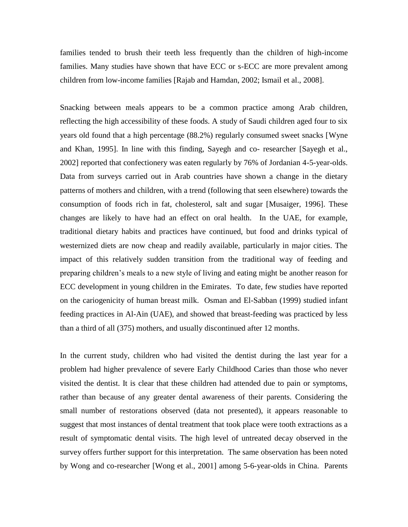families tended to brush their teeth less frequently than the children of high-income families. Many studies have shown that have ECC or s-ECC are more prevalent among children from low-income families [Rajab and Hamdan, 2002; Ismail et al., 2008].

Snacking between meals appears to be a common practice among Arab children, reflecting the high accessibility of these foods. A study of Saudi children aged four to six years old found that a high percentage (88.2%) regularly consumed sweet snacks [Wyne and Khan, 1995]. In line with this finding, Sayegh and co- researcher [Sayegh et al., 2002] reported that confectionery was eaten regularly by 76% of Jordanian 4-5-year-olds. Data from surveys carried out in Arab countries have shown a change in the dietary patterns of mothers and children, with a trend (following that seen elsewhere) towards the consumption of foods rich in fat, cholesterol, salt and sugar [Musaiger, 1996]. These changes are likely to have had an effect on oral health. In the UAE, for example, traditional dietary habits and practices have continued, but food and drinks typical of westernized diets are now cheap and readily available, particularly in major cities. The impact of this relatively sudden transition from the traditional way of feeding and preparing children's meals to a new style of living and eating might be another reason for ECC development in young children in the Emirates. To date, few studies have reported on the cariogenicity of human breast milk. Osman and El-Sabban (1999) studied infant feeding practices in Al-Ain (UAE), and showed that breast-feeding was practiced by less than a third of all (375) mothers, and usually discontinued after 12 months.

In the current study, children who had visited the dentist during the last year for a problem had higher prevalence of severe Early Childhood Caries than those who never visited the dentist. It is clear that these children had attended due to pain or symptoms, rather than because of any greater dental awareness of their parents. Considering the small number of restorations observed (data not presented), it appears reasonable to suggest that most instances of dental treatment that took place were tooth extractions as a result of symptomatic dental visits. The high level of untreated decay observed in the survey offers further support for this interpretation. The same observation has been noted by Wong and co-researcher [Wong et al., 2001] among 5-6-year-olds in China. Parents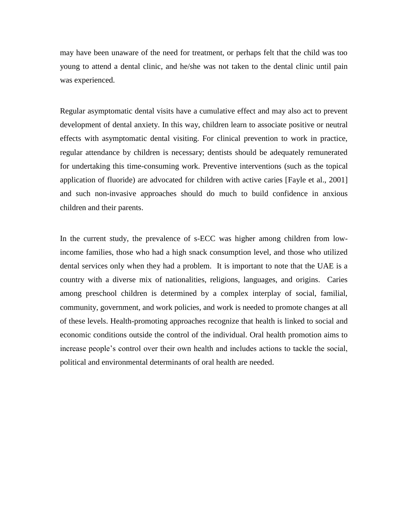may have been unaware of the need for treatment, or perhaps felt that the child was too young to attend a dental clinic, and he/she was not taken to the dental clinic until pain was experienced.

Regular asymptomatic dental visits have a cumulative effect and may also act to prevent development of dental anxiety. In this way, children learn to associate positive or neutral effects with asymptomatic dental visiting. For clinical prevention to work in practice, regular attendance by children is necessary; dentists should be adequately remunerated for undertaking this time-consuming work. Preventive interventions (such as the topical application of fluoride) are advocated for children with active caries [Fayle et al., 2001] and such non-invasive approaches should do much to build confidence in anxious children and their parents.

In the current study, the prevalence of s-ECC was higher among children from lowincome families, those who had a high snack consumption level, and those who utilized dental services only when they had a problem. It is important to note that the UAE is a country with a diverse mix of nationalities, religions, languages, and origins. Caries among preschool children is determined by a complex interplay of social, familial, community, government, and work policies, and work is needed to promote changes at all of these levels. Health-promoting approaches recognize that health is linked to social and economic conditions outside the control of the individual. Oral health promotion aims to increase people's control over their own health and includes actions to tackle the social, political and environmental determinants of oral health are needed.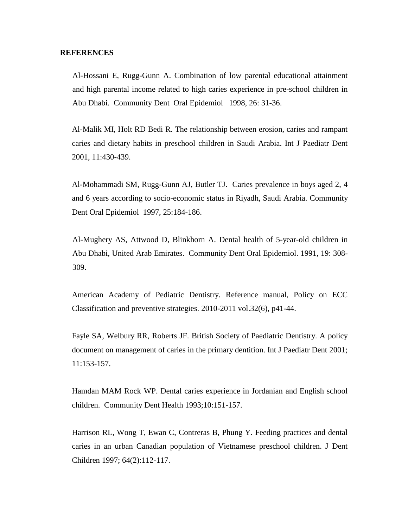#### **REFERENCES**

Al-Hossani E, Rugg-Gunn A. Combination of low parental educational attainment and high parental income related to high caries experience in pre-school children in Abu Dhabi. Community Dent Oral Epidemiol 1998, 26: 31-36.

Al-Malik MI, Holt RD Bedi R. The relationship between erosion, caries and rampant caries and dietary habits in preschool children in Saudi Arabia. Int J Paediatr Dent 2001, 11:430-439.

Al-Mohammadi SM, Rugg-Gunn AJ, Butler TJ. Caries prevalence in boys aged 2, 4 and 6 years according to socio-economic status in Riyadh, Saudi Arabia. Community Dent Oral Epidemiol 1997, 25:184-186.

Al-Mughery AS, Attwood D, Blinkhorn A. Dental health of 5-year-old children in Abu Dhabi, United Arab Emirates. Community Dent Oral Epidemiol. 1991, 19: 308- 309.

American Academy of Pediatric Dentistry. Reference manual, Policy on ECC Classification and preventive strategies. 2010-2011 vol.32(6), p41-44.

Fayle SA, Welbury RR, Roberts JF. British Society of Paediatric Dentistry. A policy document on management of caries in the primary dentition. Int J Paediatr Dent 2001; 11:153-157.

Hamdan MAM Rock WP. Dental caries experience in Jordanian and English school children. Community Dent Health 1993;10:151-157.

Harrison RL, Wong T, Ewan C, Contreras B, Phung Y. Feeding practices and dental caries in an urban Canadian population of Vietnamese preschool children. J Dent Children 1997; 64(2):112-117.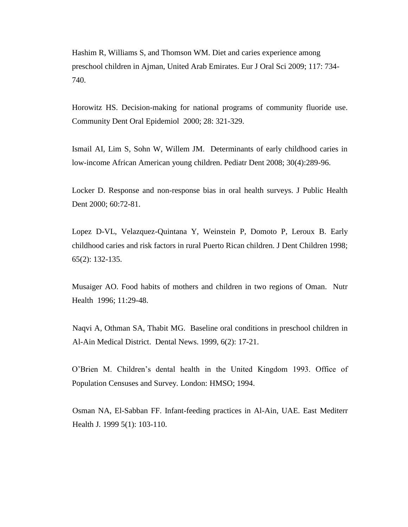Hashim R, Williams S, and Thomson WM. Diet and caries experience among preschool children in Ajman, United Arab Emirates. Eur J Oral Sci 2009; 117: 734- 740.

Horowitz HS. Decision-making for national programs of community fluoride use. Community Dent Oral Epidemiol 2000; 28: 321-329.

Ismail AI, Lim S, Sohn W, Willem JM. Determinants of early childhood caries in low-income African American young children. Pediatr Dent 2008; 30(4):289-96.

Locker D. Response and non-response bias in oral health surveys. J Public Health Dent 2000; 60:72-81.

Lopez D-VL, Velazquez-Quintana Y, Weinstein P, Domoto P, Leroux B. Early childhood caries and risk factors in rural Puerto Rican children. J Dent Children 1998; 65(2): 132-135.

Musaiger AO. Food habits of mothers and children in two regions of Oman. Nutr Health 1996; 11:29-48.

Naqvi A, Othman SA, Thabit MG. Baseline oral conditions in preschool children in Al-Ain Medical District. Dental News. 1999, 6(2): 17-21.

O'Brien M. Children's dental health in the United Kingdom 1993. Office of Population Censuses and Survey. London: HMSO; 1994.

Osman NA, El-Sabban FF. Infant-feeding practices in Al-Ain, UAE. East Mediterr Health J*.* 1999 5(1): 103-110.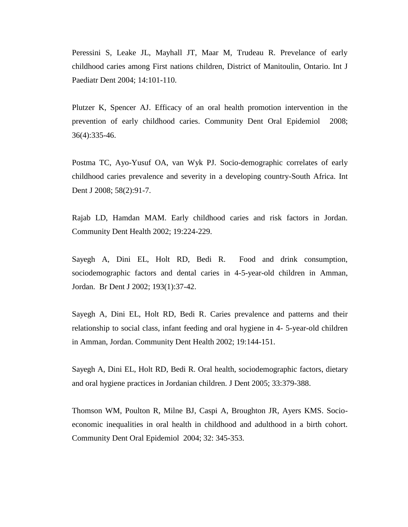Peressini S, Leake JL, Mayhall JT, Maar M, Trudeau R. Prevelance of early childhood caries among First nations children, District of Manitoulin, Ontario. Int J Paediatr Dent 2004; 14:101-110.

Plutzer K, Spencer AJ. Efficacy of an oral health promotion intervention in the prevention of early childhood caries. Community Dent Oral Epidemiol 2008; 36(4):335-46.

Postma TC, Ayo-Yusuf OA, van Wyk PJ. Socio-demographic correlates of early childhood caries prevalence and severity in a developing country-South Africa. Int Dent J 2008; 58(2):91-7.

Rajab LD, Hamdan MAM. Early childhood caries and risk factors in Jordan. Community Dent Health 2002; 19:224-229.

Sayegh A, Dini EL, Holt RD, Bedi R. Food and drink consumption, sociodemographic factors and dental caries in 4-5-year-old children in Amman, Jordan. Br Dent J 2002; 193(1):37-42.

Sayegh A, Dini EL, Holt RD, Bedi R. Caries prevalence and patterns and their relationship to social class, infant feeding and oral hygiene in 4- 5-year-old children in Amman, Jordan. Community Dent Health 2002; 19:144-151.

Sayegh A, Dini EL, Holt RD, Bedi R. Oral health, sociodemographic factors, dietary and oral hygiene practices in Jordanian children. J Dent 2005; 33:379-388.

Thomson WM, Poulton R, Milne BJ, Caspi A, Broughton JR, Ayers KMS. Socioeconomic inequalities in oral health in childhood and adulthood in a birth cohort. Community Dent Oral Epidemiol 2004; 32: 345-353.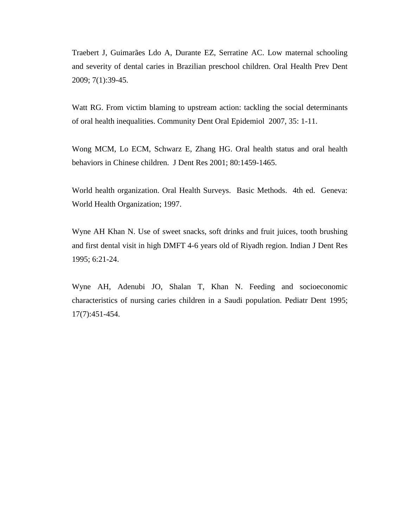Traebert J, Guimarães Ldo A, Durante EZ, Serratine AC. Low maternal schooling and severity of dental caries in Brazilian preschool children. Oral Health Prev Dent 2009; 7(1):39-45.

Watt RG. From victim blaming to upstream action: tackling the social determinants of oral health inequalities. Community Dent Oral Epidemiol 2007, 35: 1-11.

Wong MCM, Lo ECM, Schwarz E, Zhang HG. Oral health status and oral health behaviors in Chinese children. J Dent Res 2001; 80:1459-1465.

World health organization. Oral Health Surveys. Basic Methods. 4th ed. Geneva: World Health Organization; 1997.

Wyne AH Khan N. Use of sweet snacks, soft drinks and fruit juices, tooth brushing and first dental visit in high DMFT 4-6 years old of Riyadh region. Indian J Dent Res 1995; 6:21-24.

Wyne AH, Adenubi JO, Shalan T, Khan N. Feeding and socioeconomic characteristics of nursing caries children in a Saudi population. Pediatr Dent 1995; 17(7):451-454.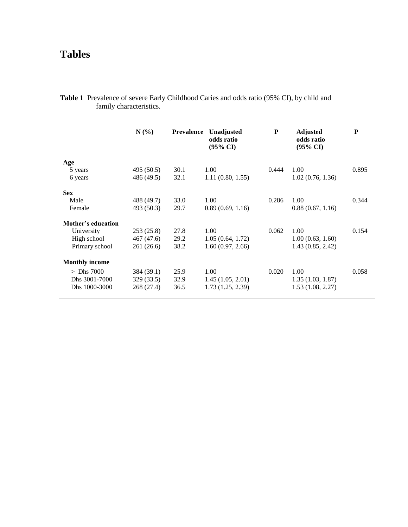## **Tables**

|                       | N(%)       | <b>Prevalence</b> | Unadjusted<br>odds ratio<br>$(95\% \text{ CI})$ | P     | <b>Adjusted</b><br>odds ratio<br>$(95\% \text{ CI})$ | P     |
|-----------------------|------------|-------------------|-------------------------------------------------|-------|------------------------------------------------------|-------|
| Age                   |            |                   |                                                 |       |                                                      |       |
| 5 years               | 495 (50.5) | 30.1              | 1.00                                            | 0.444 | 1.00                                                 | 0.895 |
| 6 years               | 486 (49.5) | 32.1              | 1.11(0.80, 1.55)                                |       | 1.02(0.76, 1.36)                                     |       |
| <b>Sex</b>            |            |                   |                                                 |       |                                                      |       |
| Male                  | 488 (49.7) | 33.0              | 1.00                                            | 0.286 | 1.00                                                 | 0.344 |
| Female                | 493 (50.3) | 29.7              | 0.89(0.69, 1.16)                                |       | 0.88(0.67, 1.16)                                     |       |
| Mother's education    |            |                   |                                                 |       |                                                      |       |
| University            | 253(25.8)  | 27.8              | 1.00                                            | 0.062 | 1.00                                                 | 0.154 |
| High school           | 467 (47.6) | 29.2              | 1.05(0.64, 1.72)                                |       | 1.00(0.63, 1.60)                                     |       |
| Primary school        | 261 (26.6) | 38.2              | 1.60(0.97, 2.66)                                |       | 1.43(0.85, 2.42)                                     |       |
| <b>Monthly income</b> |            |                   |                                                 |       |                                                      |       |
| $>$ Dhs 7000          | 384 (39.1) | 25.9              | 1.00                                            | 0.020 | 1.00                                                 | 0.058 |
| Dhs 3001-7000         | 329 (33.5) | 32.9              | 1.45(1.05, 2.01)                                |       | 1.35(1.03, 1.87)                                     |       |
| Dhs 1000-3000         | 268 (27.4) | 36.5              | 1.73(1.25, 2.39)                                |       | 1.53(1.08, 2.27)                                     |       |

**Table 1** Prevalence of severe Early Childhood Caries and odds ratio (95% CI), by child and family characteristics.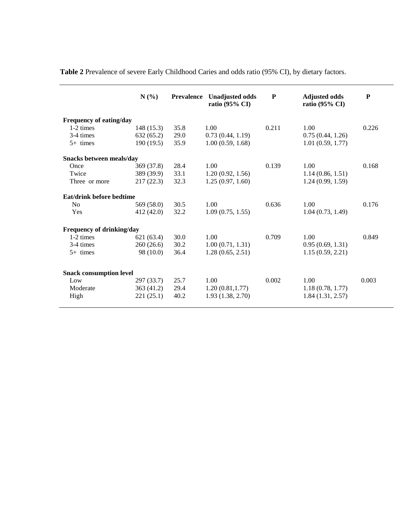**Table 2** Prevalence of severe Early Childhood Caries and odds ratio (95% CI), by dietary factors.

|                                | $N(\%)$    | <b>Prevalence</b> | <b>Unadjusted odds</b><br>ratio (95% CI) | P     | <b>Adjusted odds</b><br>ratio (95% CI) | $\mathbf{P}$ |
|--------------------------------|------------|-------------------|------------------------------------------|-------|----------------------------------------|--------------|
| Frequency of eating/day        |            |                   |                                          |       |                                        |              |
| 1-2 times                      | 148(15.3)  | 35.8              | 1.00                                     | 0.211 | 1.00                                   | 0.226        |
| 3-4 times                      | 632(65.2)  | 29.0              | 0.73(0.44, 1.19)                         |       | 0.75(0.44, 1.26)                       |              |
| $5+$ times                     | 190(19.5)  | 35.9              | 1.00(0.59, 1.68)                         |       | 1.01(0.59, 1.77)                       |              |
| Snacks between meals/day       |            |                   |                                          |       |                                        |              |
| Once                           | 369 (37.8) | 28.4              | 1.00                                     | 0.139 | 1.00                                   | 0.168        |
| Twice                          | 389 (39.9) | 33.1              | 1.20(0.92, 1.56)                         |       | 1.14(0.86, 1.51)                       |              |
| Three or more                  | 217(22.3)  | 32.3              | 1.25(0.97, 1.60)                         |       | 1.24(0.99, 1.59)                       |              |
| Eat/drink before bedtime       |            |                   |                                          |       |                                        |              |
| No                             | 569 (58.0) | 30.5              | 1.00                                     | 0.636 | 1.00                                   | 0.176        |
| Yes                            | 412 (42.0) | 32.2              | 1.09(0.75, 1.55)                         |       | 1.04(0.73, 1.49)                       |              |
| Frequency of drinking/day      |            |                   |                                          |       |                                        |              |
| $1-2 \times$                   | 621(63.4)  | 30.0              | 1.00                                     | 0.709 | 1.00                                   | 0.849        |
| 3-4 times                      | 260(26.6)  | 30.2              | 1.00(0.71, 1.31)                         |       | 0.95(0.69, 1.31)                       |              |
| $5+$ times                     | 98 (10.0)  | 36.4              | 1.28(0.65, 2.51)                         |       | 1.15(0.59, 2.21)                       |              |
| <b>Snack consumption level</b> |            |                   |                                          |       |                                        |              |
| Low                            | 297(33.7)  | 25.7              | 1.00                                     | 0.002 | 1.00                                   | 0.003        |
| Moderate                       | 363(41.2)  | 29.4              | 1.20(0.81, 1.77)                         |       | 1.18(0.78, 1.77)                       |              |
| High                           | 221(25.1)  | 40.2              | 1.93(1.38, 2.70)                         |       | 1.84(1.31, 2.57)                       |              |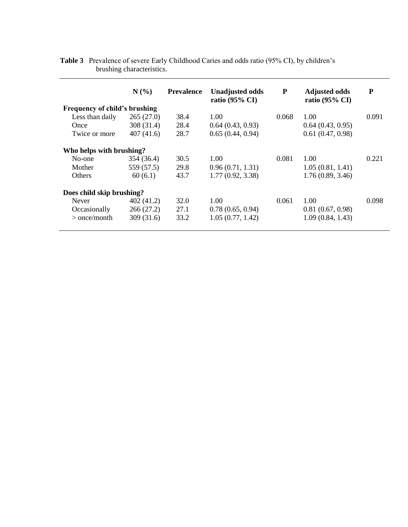|                               | N(%)       | <b>Prevalence</b> | <b>Unadjusted odds</b><br>ratio $(95\% \text{ CI})$ | ${\bf P}$ | <b>Adjusted odds</b><br>ratio $(95\% \text{ CI})$ | P     |
|-------------------------------|------------|-------------------|-----------------------------------------------------|-----------|---------------------------------------------------|-------|
| Frequency of child's brushing |            |                   |                                                     |           |                                                   |       |
| Less than daily               | 265(27.0)  | 38.4              | 1.00                                                | 0.068     | 1.00                                              | 0.091 |
| Once                          | 308 (31.4) | 28.4              | 0.64(0.43, 0.93)                                    |           | 0.64(0.43, 0.95)                                  |       |
| Twice or more                 | 407(41.6)  | 28.7              | 0.65(0.44, 0.94)                                    |           | 0.61(0.47, 0.98)                                  |       |
| Who helps with brushing?      |            |                   |                                                     |           |                                                   |       |
| No-one                        | 354 (36.4) | 30.5              | 1.00                                                | 0.081     | 1.00                                              | 0.221 |
| Mother                        | 559 (57.5) | 29.8              | 0.96(0.71, 1.31)                                    |           | 1.05(0.81, 1.41)                                  |       |
| <b>Others</b>                 | 60(6.1)    | 43.7              | 1.77(0.92, 3.38)                                    |           | 1.76(0.89, 3.46)                                  |       |
| Does child skip brushing?     |            |                   |                                                     |           |                                                   |       |
| <b>Never</b>                  | 402(41.2)  | 32.0              | 1.00                                                | 0.061     | 1.00                                              | 0.098 |
| Occasionally                  | 266(27.2)  | 27.1              | 0.78(0.65, 0.94)                                    |           | 0.81(0.67, 0.98)                                  |       |
| $>$ once/month                | 309(31.6)  | 33.2              | 1.05(0.77, 1.42)                                    |           | 1.09(0.84, 1.43)                                  |       |

**Table 3** Prevalence of severe Early Childhood Caries and odds ratio (95% CI), by children's brushing characteristics.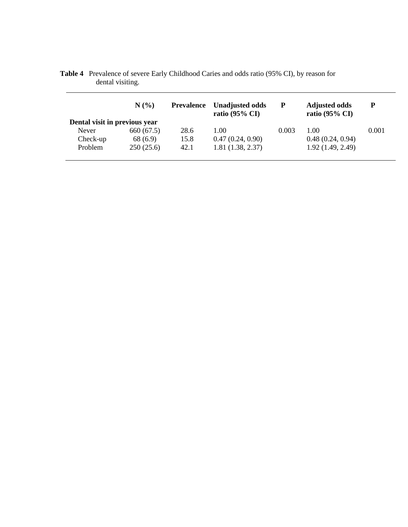|                               | N(%        | <b>Prevalence</b> | <b>Unadjusted odds</b><br>ratio $(95\% \text{ CI})$ | P     | <b>Adjusted odds</b><br>ratio $(95\% \text{ CI})$ | P     |
|-------------------------------|------------|-------------------|-----------------------------------------------------|-------|---------------------------------------------------|-------|
| Dental visit in previous year |            |                   |                                                     |       |                                                   |       |
| Never                         | 660 (67.5) | 28.6              | L.OO                                                | 0.003 | 1.00                                              | 0.001 |
| Check-up                      | 68 (6.9)   | 15.8              | 0.47(0.24, 0.90)                                    |       | 0.48(0.24, 0.94)                                  |       |
| Problem                       | 250(25.6)  | 42.1              | 1.81(1.38, 2.37)                                    |       | 1.92(1.49, 2.49)                                  |       |

**Table 4** Prevalence of severe Early Childhood Caries and odds ratio (95% CI), by reason for dental visiting.